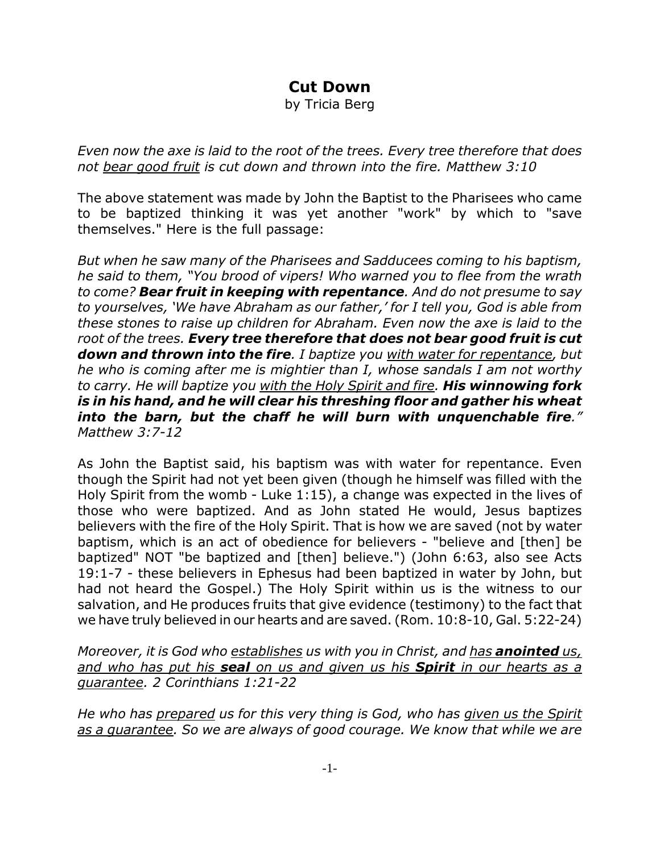## **Cut Down**

by Tricia Berg

*Even now the axe is laid to the root of the trees. Every tree therefore that does not bear good fruit is cut down and thrown into the fire. Matthew 3:10*

The above statement was made by John the Baptist to the Pharisees who came to be baptized thinking it was yet another "work" by which to "save themselves." Here is the full passage:

*But when he saw many of the Pharisees and Sadducees coming to his baptism, he said to them, "You brood of vipers! Who warned you to flee from the wrath to come? Bear fruit in keeping with repentance. And do not presume to say to yourselves, 'We have Abraham as our father,' for I tell you, God is able from these stones to raise up children for Abraham. Even now the axe is laid to the root of the trees. Every tree therefore that does not bear good fruit is cut down and thrown into the fire. I baptize you with water for repentance, but he who is coming after me is mightier than I, whose sandals I am not worthy to carry. He will baptize you with the Holy Spirit and fire. His winnowing fork is in his hand, and he will clear his threshing floor and gather his wheat into the barn, but the chaff he will burn with unquenchable fire." Matthew 3:7-12*

As John the Baptist said, his baptism was with water for repentance. Even though the Spirit had not yet been given (though he himself was filled with the Holy Spirit from the womb - Luke 1:15), a change was expected in the lives of those who were baptized. And as John stated He would, Jesus baptizes believers with the fire of the Holy Spirit. That is how we are saved (not by water baptism, which is an act of obedience for believers - "believe and [then] be baptized" NOT "be baptized and [then] believe.") (John 6:63, also see Acts 19:1-7 - these believers in Ephesus had been baptized in water by John, but had not heard the Gospel.) The Holy Spirit within us is the witness to our salvation, and He produces fruits that give evidence (testimony) to the fact that we have truly believed in our hearts and are saved. (Rom. 10:8-10, Gal. 5:22-24)

*Moreover, it is God who establishes us with you in Christ, and has anointed <i>us*, *and who has put his seal on us and given us his Spirit in our hearts as a guarantee. 2 Corinthians 1:21-22*

*He who has prepared us for this very thing is God, who has given us the Spirit as a guarantee. So we are always of good courage. We know that while we are*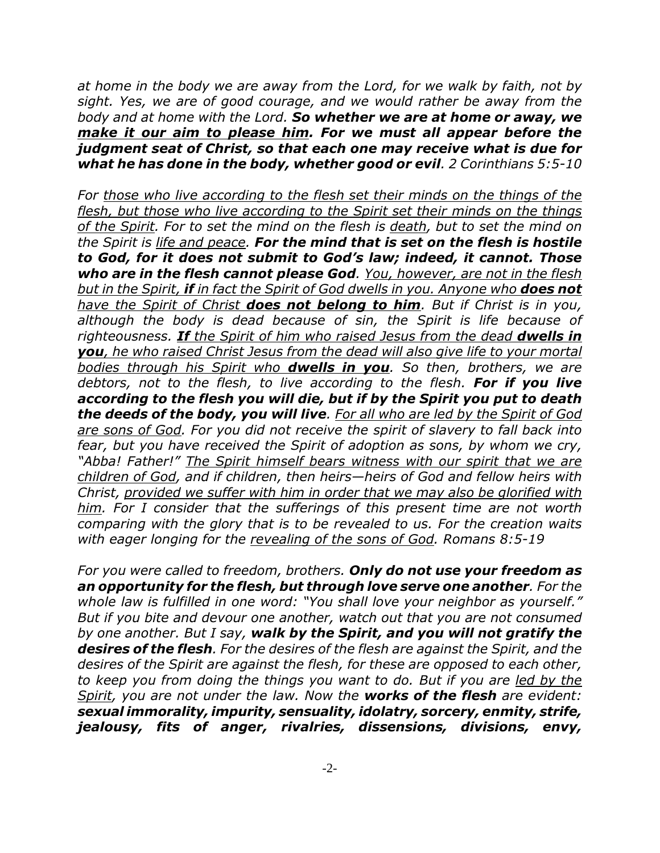*at home in the body we are away from the Lord, for we walk by faith, not by sight. Yes, we are of good courage, and we would rather be away from the body and at home with the Lord. So whether we are at home or away, we make it our aim to please him. For we must all appear before the judgment seat of Christ, so that each one may receive what is due for what he has done in the body, whether good or evil. 2 Corinthians 5:5-10*

*For those who live according to the flesh set their minds on the things of the flesh, but those who live according to the Spirit set their minds on the things of the Spirit. For to set the mind on the flesh is death, but to set the mind on the Spirit is life and peace. For the mind that is set on the flesh is hostile to God, for it does not submit to God's law; indeed, it cannot. Those who are in the flesh cannot please God. You, however, are not in the flesh but in the Spirit, if in fact the Spirit of God dwells in you. Anyone who does not have the Spirit of Christ does not belong to him. But if Christ is in you, although the body is dead because of sin, the Spirit is life because of righteousness. If the Spirit of him who raised Jesus from the dead dwells in you, he who raised Christ Jesus from the dead will also give life to your mortal bodies through his Spirit who dwells in you. So then, brothers, we are debtors, not to the flesh, to live according to the flesh. For if you live according to the flesh you will die, but if by the Spirit you put to death the deeds of the body, you will live. For all who are led by the Spirit of God are sons of God. For you did not receive the spirit of slavery to fall back into fear, but you have received the Spirit of adoption as sons, by whom we cry, "Abba! Father!" The Spirit himself bears witness with our spirit that we are children of God, and if children, then heirs—heirs of God and fellow heirs with Christ, provided we suffer with him in order that we may also be glorified with him. For I consider that the sufferings of this present time are not worth comparing with the glory that is to be revealed to us. For the creation waits with eager longing for the revealing of the sons of God. Romans 8:5-19*

*For you were called to freedom, brothers. Only do not use your freedom as an opportunity for the flesh, but through love serve one another. For the whole law is fulfilled in one word: "You shall love your neighbor as yourself." But if you bite and devour one another, watch out that you are not consumed by one another. But I say, walk by the Spirit, and you will not gratify the desires of the flesh. For the desires of the flesh are against the Spirit, and the desires of the Spirit are against the flesh, for these are opposed to each other, to keep you from doing the things you want to do. But if you are led by the Spirit, you are not under the law. Now the works of the flesh are evident: sexual immorality, impurity, sensuality, idolatry, sorcery, enmity, strife, jealousy, fits of anger, rivalries, dissensions, divisions, envy,*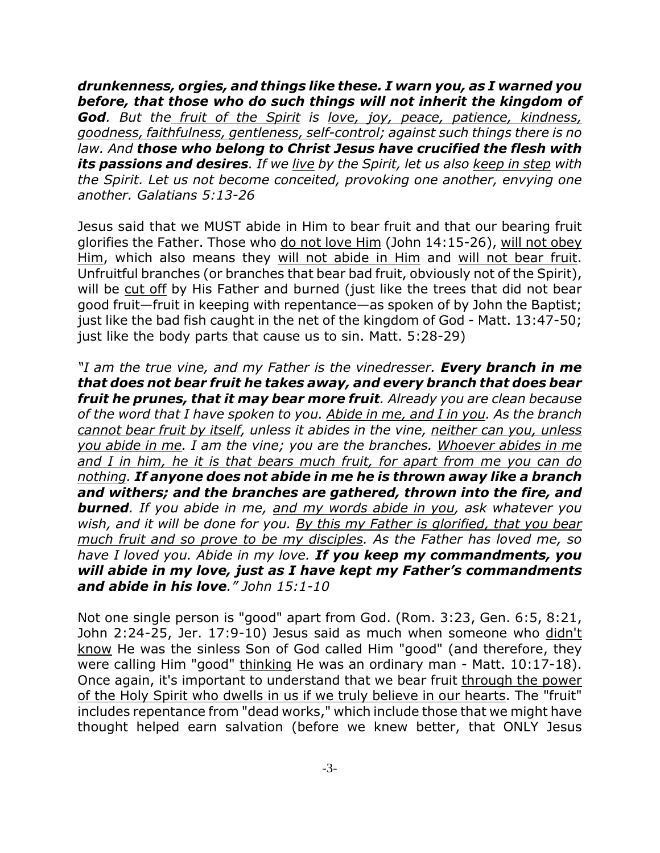*drunkenness, orgies, and things like these. I warn you, as I warned you before, that those who do such things will not inherit the kingdom of God. But the fruit of the Spirit is love, joy, peace, patience, kindness, goodness, faithfulness, gentleness, self-control; against such things there is no law. And those who belong to Christ Jesus have crucified the flesh with its passions and desires. If we live by the Spirit, let us also keep in step with the Spirit. Let us not become conceited, provoking one another, envying one another. Galatians 5:13-26*

Jesus said that we MUST abide in Him to bear fruit and that our bearing fruit glorifies the Father. Those who do not love Him (John 14:15-26), will not obey Him, which also means they will not abide in Him and will not bear fruit. Unfruitful branches (or branches that bear bad fruit, obviously not of the Spirit), will be cut off by His Father and burned (just like the trees that did not bear good fruit—fruit in keeping with repentance—as spoken of by John the Baptist; just like the bad fish caught in the net of the kingdom of God - Matt. 13:47-50; just like the body parts that cause us to sin. Matt. 5:28-29)

*"I am the true vine, and my Father is the vinedresser. Every branch in me that does not bear fruit he takes away, and every branch that does bear fruit he prunes, that it may bear more fruit. Already you are clean because of the word that I have spoken to you. Abide in me, and I in you. As the branch cannot bear fruit by itself, unless it abides in the vine, neither can you, unless you abide in me. I am the vine; you are the branches. Whoever abides in me and I in him, he it is that bears much fruit, for apart from me you can do nothing. If anyone does not abide in me he is thrown away like a branch and withers; and the branches are gathered, thrown into the fire, and burned. If you abide in me, and my words abide in you, ask whatever you wish, and it will be done for you. By this my Father is glorified, that you bear much fruit and so prove to be my disciples. As the Father has loved me, so have I loved you. Abide in my love. If you keep my commandments, you will abide in my love, just as I have kept my Father's commandments and abide in his love." John 15:1-10*

Not one single person is "good" apart from God. (Rom. 3:23, Gen. 6:5, 8:21, John 2:24-25, Jer. 17:9-10) Jesus said as much when someone who didn't know He was the sinless Son of God called Him "good" (and therefore, they were calling Him "good" thinking He was an ordinary man - Matt. 10:17-18). Once again, it's important to understand that we bear fruit through the power of the Holy Spirit who dwells in us if we truly believe in our hearts. The "fruit" includes repentance from "dead works," which include those that we might have thought helped earn salvation (before we knew better, that ONLY Jesus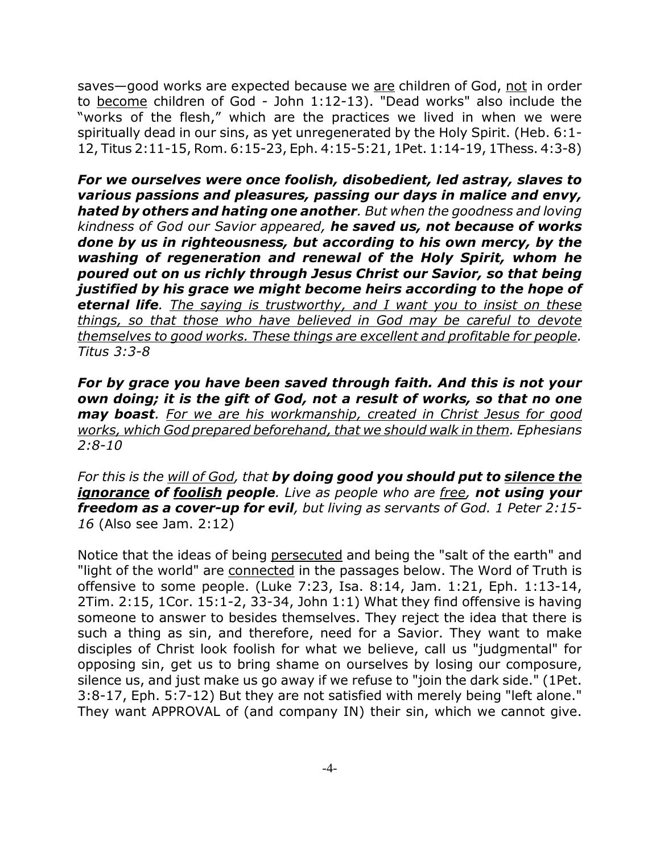saves—good works are expected because we are children of God, not in order to become children of God - John 1:12-13). "Dead works" also include the "works of the flesh," which are the practices we lived in when we were spiritually dead in our sins, as yet unregenerated by the Holy Spirit. (Heb. 6:1- 12, Titus 2:11-15, Rom. 6:15-23, Eph. 4:15-5:21, 1Pet. 1:14-19, 1Thess. 4:3-8)

*For we ourselves were once foolish, disobedient, led astray, slaves to various passions and pleasures, passing our days in malice and envy, hated by others and hating one another. But when the goodness and loving kindness of God our Savior appeared, he saved us, not because of works done by us in righteousness, but according to his own mercy, by the washing of regeneration and renewal of the Holy Spirit, whom he poured out on us richly through Jesus Christ our Savior, so that being justified by his grace we might become heirs according to the hope of eternal life. The saying is trustworthy, and I want you to insist on these things, so that those who have believed in God may be careful to devote themselves to good works. These things are excellent and profitable for people. Titus 3:3-8*

*For by grace you have been saved through faith. And this is not your own doing; it is the gift of God, not a result of works, so that no one may boast. For we are his workmanship, created in Christ Jesus for good works, which God prepared beforehand, that we should walk in them. Ephesians 2:8-10*

*For this is the will of God, that by doing good you should put to silence the ignorance of foolish people. Live as people who are free, not using your freedom as a cover-up for evil, but living as servants of God. 1 Peter 2:15- 16* (Also see Jam. 2:12)

Notice that the ideas of being persecuted and being the "salt of the earth" and "light of the world" are connected in the passages below. The Word of Truth is offensive to some people. (Luke 7:23, Isa. 8:14, Jam. 1:21, Eph. 1:13-14, 2Tim. 2:15, 1Cor. 15:1-2, 33-34, John 1:1) What they find offensive is having someone to answer to besides themselves. They reject the idea that there is such a thing as sin, and therefore, need for a Savior. They want to make disciples of Christ look foolish for what we believe, call us "judgmental" for opposing sin, get us to bring shame on ourselves by losing our composure, silence us, and just make us go away if we refuse to "join the dark side." (1Pet. 3:8-17, Eph. 5:7-12) But they are not satisfied with merely being "left alone." They want APPROVAL of (and company IN) their sin, which we cannot give.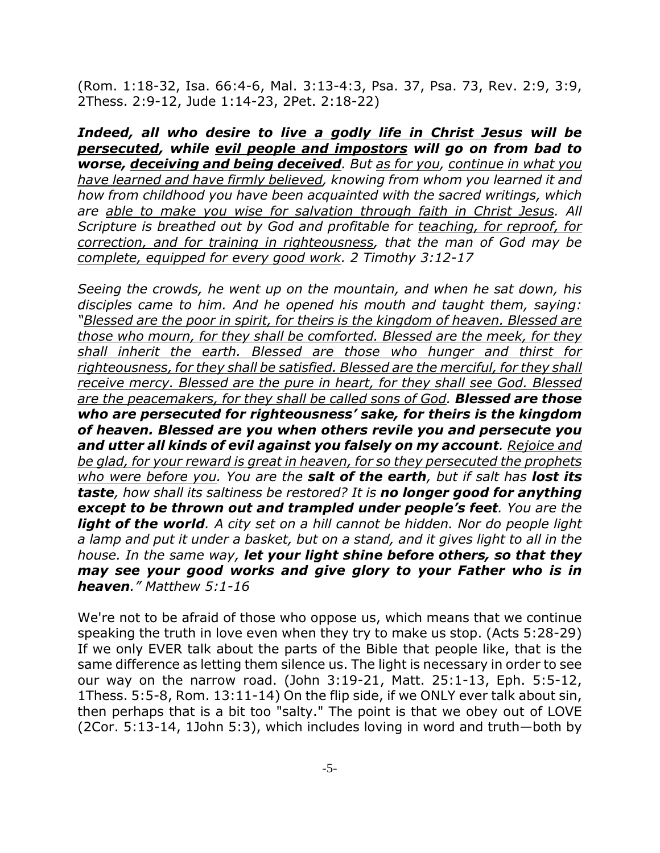(Rom. 1:18-32, Isa. 66:4-6, Mal. 3:13-4:3, Psa. 37, Psa. 73, Rev. 2:9, 3:9, 2Thess. 2:9-12, Jude 1:14-23, 2Pet. 2:18-22)

*Indeed, all who desire to live a godly life in Christ Jesus will be persecuted, while evil people and impostors will go on from bad to worse, deceiving and being deceived. But as for you, continue in what you have learned and have firmly believed, knowing from whom you learned it and how from childhood you have been acquainted with the sacred writings, which are able to make you wise for salvation through faith in Christ Jesus. All Scripture is breathed out by God and profitable for teaching, for reproof, for correction, and for training in righteousness, that the man of God may be complete, equipped for every good work. 2 Timothy 3:12-17*

*Seeing the crowds, he went up on the mountain, and when he sat down, his disciples came to him. And he opened his mouth and taught them, saying: "Blessed are the poor in spirit, for theirs is the kingdom of heaven. Blessed are those who mourn, for they shall be comforted. Blessed are the meek, for they shall inherit the earth. Blessed are those who hunger and thirst for righteousness, for they shall be satisfied. Blessed are the merciful, for they shall receive mercy. Blessed are the pure in heart, for they shall see God. Blessed are the peacemakers, for they shall be called sons of God. Blessed are those who are persecuted for righteousness' sake, for theirs is the kingdom of heaven. Blessed are you when others revile you and persecute you and utter all kinds of evil against you falsely on my account. Rejoice and be glad, for your reward is great in heaven, for so they persecuted the prophets who were before you. You are the salt of the earth, but if salt has lost its taste, how shall its saltiness be restored? It is no longer good for anything except to be thrown out and trampled under people's feet. You are the light of the world. A city set on a hill cannot be hidden. Nor do people light a lamp and put it under a basket, but on a stand, and it gives light to all in the house. In the same way, let your light shine before others, so that they may see your good works and give glory to your Father who is in heaven." Matthew 5:1-16*

We're not to be afraid of those who oppose us, which means that we continue speaking the truth in love even when they try to make us stop. (Acts 5:28-29) If we only EVER talk about the parts of the Bible that people like, that is the same difference as letting them silence us. The light is necessary in order to see our way on the narrow road. (John 3:19-21, Matt. 25:1-13, Eph. 5:5-12, 1Thess. 5:5-8, Rom. 13:11-14) On the flip side, if we ONLY ever talk about sin, then perhaps that is a bit too "salty." The point is that we obey out of LOVE (2Cor. 5:13-14, 1John 5:3), which includes loving in word and truth—both by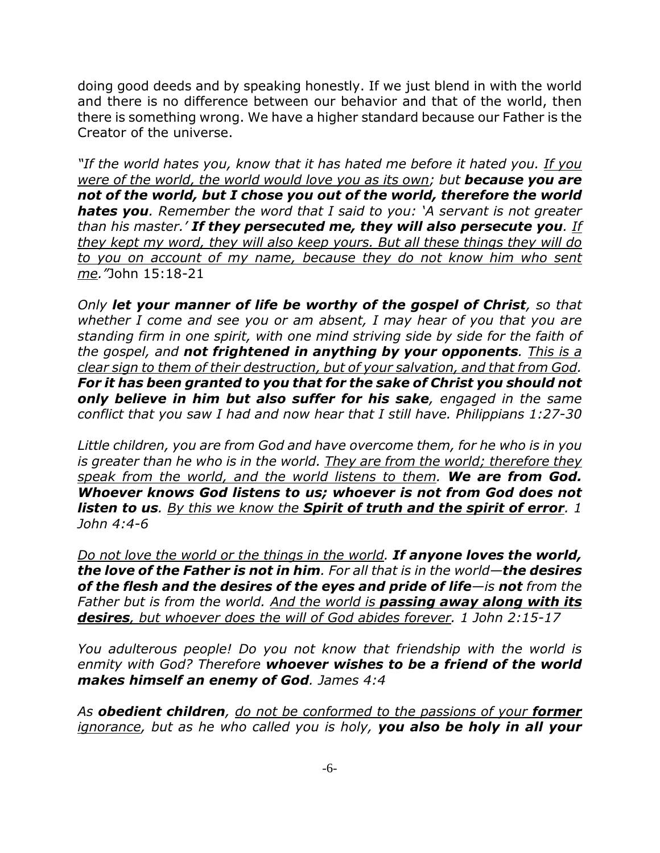doing good deeds and by speaking honestly. If we just blend in with the world and there is no difference between our behavior and that of the world, then there is something wrong. We have a higher standard because our Father is the Creator of the universe.

*"If the world hates you, know that it has hated me before it hated you. If you were of the world, the world would love you as its own; but because you are not of the world, but I chose you out of the world, therefore the world hates you. Remember the word that I said to you: 'A servant is not greater than his master.' If they persecuted me, they will also persecute you. If they kept my word, they will also keep yours. But all these things they will do to you on account of my name, because they do not know him who sent me."*John 15:18-21

*Only let your manner of life be worthy of the gospel of Christ, so that whether I come and see you or am absent, I may hear of you that you are standing firm in one spirit, with one mind striving side by side for the faith of the gospel, and not frightened in anything by your opponents. This is a clear sign to them of their destruction, but of your salvation, and that from God. For it has been granted to you that for the sake of Christ you should not only believe in him but also suffer for his sake, engaged in the same conflict that you saw I had and now hear that I still have. Philippians 1:27-30*

*Little children, you are from God and have overcome them, for he who is in you is greater than he who is in the world. They are from the world; therefore they speak from the world, and the world listens to them. We are from God. Whoever knows God listens to us; whoever is not from God does not listen to us. By this we know the Spirit of truth and the spirit of error. 1 John 4:4-6*

*Do not love the world or the things in the world. If anyone loves the world, the love of the Father is not in him. For all that is in the world—the desires of the flesh and the desires of the eyes and pride of life—is not from the Father but is from the world. And the world is passing away along with its desires, but whoever does the will of God abides forever. 1 John 2:15-17*

*You adulterous people! Do you not know that friendship with the world is enmity with God? Therefore whoever wishes to be a friend of the world makes himself an enemy of God. James 4:4*

*As obedient children, do not be conformed to the passions of your former ignorance, but as he who called you is holy, you also be holy in all your*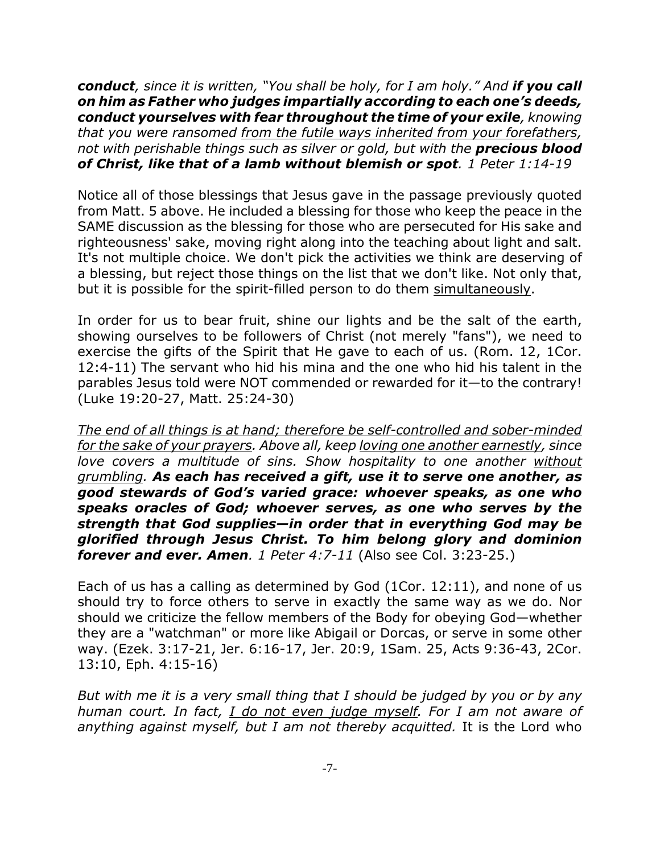*conduct, since it is written, "You shall be holy, for I am holy." And if you call on him as Father who judges impartially according to each one's deeds, conduct yourselves with fear throughout the time of your exile, knowing that you were ransomed from the futile ways inherited from your forefathers, not with perishable things such as silver or gold, but with the precious blood of Christ, like that of a lamb without blemish or spot. 1 Peter 1:14-19*

Notice all of those blessings that Jesus gave in the passage previously quoted from Matt. 5 above. He included a blessing for those who keep the peace in the SAME discussion as the blessing for those who are persecuted for His sake and righteousness' sake, moving right along into the teaching about light and salt. It's not multiple choice. We don't pick the activities we think are deserving of a blessing, but reject those things on the list that we don't like. Not only that, but it is possible for the spirit-filled person to do them simultaneously.

In order for us to bear fruit, shine our lights and be the salt of the earth, showing ourselves to be followers of Christ (not merely "fans"), we need to exercise the gifts of the Spirit that He gave to each of us. (Rom. 12, 1Cor. 12:4-11) The servant who hid his mina and the one who hid his talent in the parables Jesus told were NOT commended or rewarded for it—to the contrary! (Luke 19:20-27, Matt. 25:24-30)

*The end of all things is at hand; therefore be self-controlled and sober-minded for the sake of your prayers. Above all, keep loving one another earnestly, since love covers a multitude of sins. Show hospitality to one another without grumbling. As each has received a gift, use it to serve one another, as good stewards of God's varied grace: whoever speaks, as one who speaks oracles of God; whoever serves, as one who serves by the strength that God supplies—in order that in everything God may be glorified through Jesus Christ. To him belong glory and dominion forever and ever. Amen. 1 Peter 4:7-11* (Also see Col. 3:23-25.)

Each of us has a calling as determined by God (1Cor. 12:11), and none of us should try to force others to serve in exactly the same way as we do. Nor should we criticize the fellow members of the Body for obeying God—whether they are a "watchman" or more like Abigail or Dorcas, or serve in some other way. (Ezek. 3:17-21, Jer. 6:16-17, Jer. 20:9, 1Sam. 25, Acts 9:36-43, 2Cor. 13:10, Eph. 4:15-16)

*But with me it is a very small thing that I should be judged by you or by any human court. In fact, I do not even judge myself. For I am not aware of anything against myself, but I am not thereby acquitted.* It is the Lord who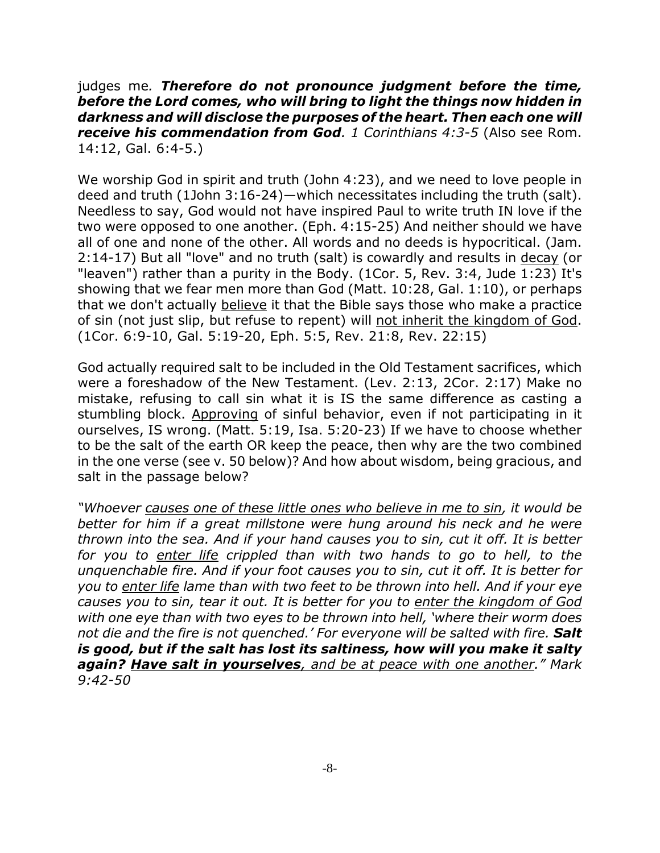judges me*. Therefore do not pronounce judgment before the time, before the Lord comes, who will bring to light the things now hidden in darkness and will disclose the purposes of the heart. Then each one will receive his commendation from God. 1 Corinthians 4:3-5* (Also see Rom. 14:12, Gal. 6:4-5.)

We worship God in spirit and truth (John 4:23), and we need to love people in deed and truth (1John 3:16-24)—which necessitates including the truth (salt). Needless to say, God would not have inspired Paul to write truth IN love if the two were opposed to one another. (Eph. 4:15-25) And neither should we have all of one and none of the other. All words and no deeds is hypocritical. (Jam. 2:14-17) But all "love" and no truth (salt) is cowardly and results in decay (or "leaven") rather than a purity in the Body. (1Cor. 5, Rev. 3:4, Jude 1:23) It's showing that we fear men more than God (Matt. 10:28, Gal. 1:10), or perhaps that we don't actually believe it that the Bible says those who make a practice of sin (not just slip, but refuse to repent) will not inherit the kingdom of God. (1Cor. 6:9-10, Gal. 5:19-20, Eph. 5:5, Rev. 21:8, Rev. 22:15)

God actually required salt to be included in the Old Testament sacrifices, which were a foreshadow of the New Testament. (Lev. 2:13, 2Cor. 2:17) Make no mistake, refusing to call sin what it is IS the same difference as casting a stumbling block. Approving of sinful behavior, even if not participating in it ourselves, IS wrong. (Matt. 5:19, Isa. 5:20-23) If we have to choose whether to be the salt of the earth OR keep the peace, then why are the two combined in the one verse (see v. 50 below)? And how about wisdom, being gracious, and salt in the passage below?

*"Whoever causes one of these little ones who believe in me to sin, it would be better for him if a great millstone were hung around his neck and he were thrown into the sea. And if your hand causes you to sin, cut it off. It is better for you to enter life crippled than with two hands to go to hell, to the unquenchable fire. And if your foot causes you to sin, cut it off. It is better for you to enter life lame than with two feet to be thrown into hell. And if your eye causes you to sin, tear it out. It is better for you to enter the kingdom of God with one eye than with two eyes to be thrown into hell, 'where their worm does not die and the fire is not quenched.' For everyone will be salted with fire. Salt is good, but if the salt has lost its saltiness, how will you make it salty again? Have salt in yourselves, and be at peace with one another." Mark 9:42-50*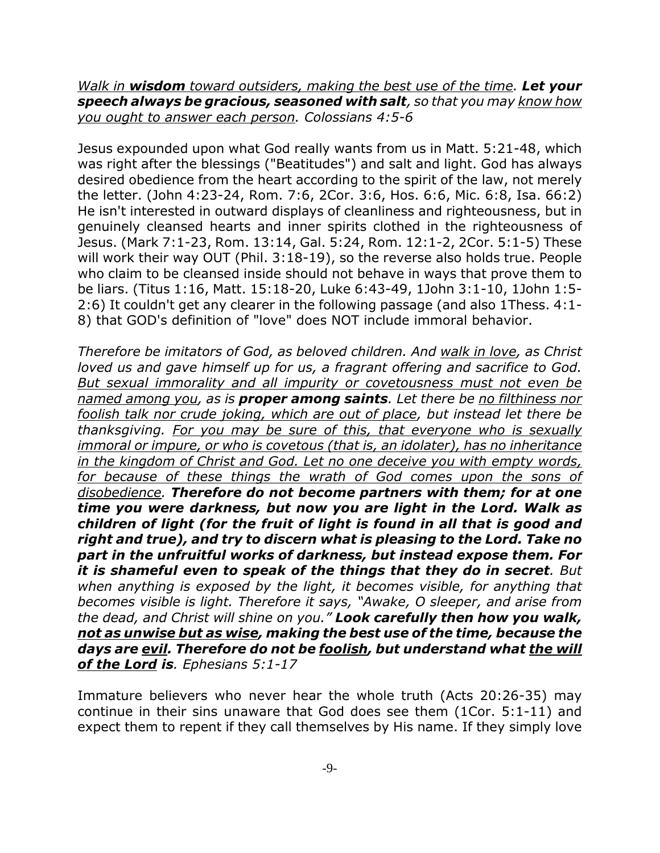## *Walk in wisdom toward outsiders, making the best use of the time. Let your speech always be gracious, seasoned with salt, so that you may know how you ought to answer each person. Colossians 4:5-6*

Jesus expounded upon what God really wants from us in Matt. 5:21-48, which was right after the blessings ("Beatitudes") and salt and light. God has always desired obedience from the heart according to the spirit of the law, not merely the letter. (John 4:23-24, Rom. 7:6, 2Cor. 3:6, Hos. 6:6, Mic. 6:8, Isa. 66:2) He isn't interested in outward displays of cleanliness and righteousness, but in genuinely cleansed hearts and inner spirits clothed in the righteousness of Jesus. (Mark 7:1-23, Rom. 13:14, Gal. 5:24, Rom. 12:1-2, 2Cor. 5:1-5) These will work their way OUT (Phil. 3:18-19), so the reverse also holds true. People who claim to be cleansed inside should not behave in ways that prove them to be liars. (Titus 1:16, Matt. 15:18-20, Luke 6:43-49, 1John 3:1-10, 1John 1:5- 2:6) It couldn't get any clearer in the following passage (and also 1Thess. 4:1- 8) that GOD's definition of "love" does NOT include immoral behavior.

*Therefore be imitators of God, as beloved children. And walk in love, as Christ loved us and gave himself up for us, a fragrant offering and sacrifice to God. But sexual immorality and all impurity or covetousness must not even be named among you, as is proper among saints. Let there be no filthiness nor foolish talk nor crude joking, which are out of place, but instead let there be thanksgiving. For you may be sure of this, that everyone who is sexually immoral or impure, or who is covetous (that is, an idolater), has no inheritance in the kingdom of Christ and God. Let no one deceive you with empty words, for because of these things the wrath of God comes upon the sons of disobedience. Therefore do not become partners with them; for at one time you were darkness, but now you are light in the Lord. Walk as children of light (for the fruit of light is found in all that is good and right and true), and try to discern what is pleasing to the Lord. Take no part in the unfruitful works of darkness, but instead expose them. For it is shameful even to speak of the things that they do in secret. But when anything is exposed by the light, it becomes visible, for anything that becomes visible is light. Therefore it says, "Awake, O sleeper, and arise from the dead, and Christ will shine on you." Look carefully then how you walk, not as unwise but as wise, making the best use of the time, because the days are evil. Therefore do not be foolish, but understand what the will of the Lord is. Ephesians 5:1-17*

Immature believers who never hear the whole truth (Acts 20:26-35) may continue in their sins unaware that God does see them (1Cor. 5:1-11) and expect them to repent if they call themselves by His name. If they simply love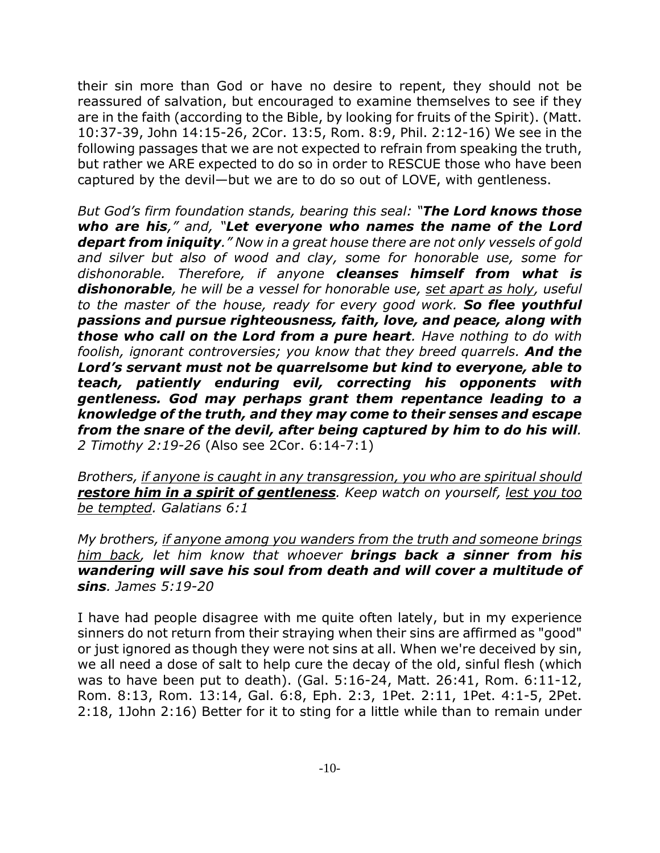their sin more than God or have no desire to repent, they should not be reassured of salvation, but encouraged to examine themselves to see if they are in the faith (according to the Bible, by looking for fruits of the Spirit). (Matt. 10:37-39, John 14:15-26, 2Cor. 13:5, Rom. 8:9, Phil. 2:12-16) We see in the following passages that we are not expected to refrain from speaking the truth, but rather we ARE expected to do so in order to RESCUE those who have been captured by the devil—but we are to do so out of LOVE, with gentleness.

*But God's firm foundation stands, bearing this seal: "The Lord knows those who are his," and, "Let everyone who names the name of the Lord depart from iniquity." Now in a great house there are not only vessels of gold and silver but also of wood and clay, some for honorable use, some for dishonorable. Therefore, if anyone cleanses himself from what is dishonorable, he will be a vessel for honorable use, set apart as holy, useful to the master of the house, ready for every good work. So flee youthful passions and pursue righteousness, faith, love, and peace, along with those who call on the Lord from a pure heart. Have nothing to do with foolish, ignorant controversies; you know that they breed quarrels. And the Lord's servant must not be quarrelsome but kind to everyone, able to teach, patiently enduring evil, correcting his opponents with gentleness. God may perhaps grant them repentance leading to a knowledge of the truth, and they may come to their senses and escape from the snare of the devil, after being captured by him to do his will. 2 Timothy 2:19-26* (Also see 2Cor. 6:14-7:1)

*Brothers, if anyone is caught in any transgression, you who are spiritual should restore him in a spirit of gentleness. Keep watch on yourself, lest you too be tempted. Galatians 6:1*

*My brothers, if anyone among you wanders from the truth and someone brings him back, let him know that whoever brings back a sinner from his wandering will save his soul from death and will cover a multitude of sins. James 5:19-20*

I have had people disagree with me quite often lately, but in my experience sinners do not return from their straying when their sins are affirmed as "good" or just ignored as though they were not sins at all. When we're deceived by sin, we all need a dose of salt to help cure the decay of the old, sinful flesh (which was to have been put to death). (Gal. 5:16-24, Matt. 26:41, Rom. 6:11-12, Rom. 8:13, Rom. 13:14, Gal. 6:8, Eph. 2:3, 1Pet. 2:11, 1Pet. 4:1-5, 2Pet. 2:18, 1John 2:16) Better for it to sting for a little while than to remain under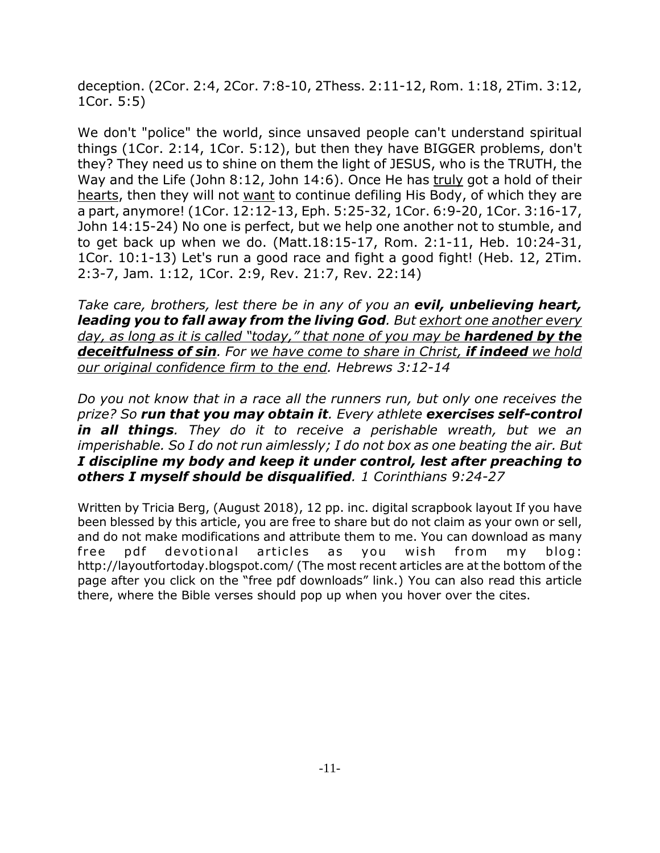deception. (2Cor. 2:4, 2Cor. 7:8-10, 2Thess. 2:11-12, Rom. 1:18, 2Tim. 3:12, 1Cor. 5:5)

We don't "police" the world, since unsaved people can't understand spiritual things (1Cor. 2:14, 1Cor. 5:12), but then they have BIGGER problems, don't they? They need us to shine on them the light of JESUS, who is the TRUTH, the Way and the Life (John 8:12, John 14:6). Once He has truly got a hold of their hearts, then they will not want to continue defiling His Body, of which they are a part, anymore! (1Cor. 12:12-13, Eph. 5:25-32, 1Cor. 6:9-20, 1Cor. 3:16-17, John 14:15-24) No one is perfect, but we help one another not to stumble, and to get back up when we do. (Matt.18:15-17, Rom. 2:1-11, Heb. 10:24-31, 1Cor. 10:1-13) Let's run a good race and fight a good fight! (Heb. 12, 2Tim. 2:3-7, Jam. 1:12, 1Cor. 2:9, Rev. 21:7, Rev. 22:14)

*Take care, brothers, lest there be in any of you an evil, unbelieving heart, leading you to fall away from the living God. But exhort one another every day, as long as it is called "today," that none of you may be hardened by the deceitfulness of sin. For we have come to share in Christ, if indeed we hold our original confidence firm to the end. Hebrews 3:12-14*

*Do you not know that in a race all the runners run, but only one receives the prize? So run that you may obtain it. Every athlete exercises self-control in all things. They do it to receive a perishable wreath, but we an imperishable. So I do not run aimlessly; I do not box as one beating the air. But I discipline my body and keep it under control, lest after preaching to others I myself should be disqualified. 1 Corinthians 9:24-27*

Written by Tricia Berg, (August 2018), 12 pp. inc. digital scrapbook layout If you have been blessed by this article, you are free to share but do not claim as your own or sell, and do not make modifications and attribute them to me. You can download as many free pdf devotional articles as you wish from my blog: http://layoutfortoday.blogspot.com/ (The most recent articles are at the bottom of the page after you click on the "free pdf downloads" link.) You can also read this article there, where the Bible verses should pop up when you hover over the cites.